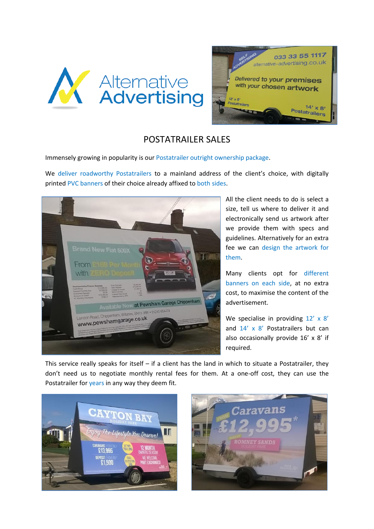



## POSTATRAILER SALES

Immensely growing in popularity is our Postatrailer outright ownership package.

We deliver roadworthy Postatrailers to a mainland address of the client's choice, with digitally printed PVC banners of their choice already affixed to both sides.



All the client needs to do is select a size, tell us where to deliver it and electronically send us artwork after we provide them with specs and guidelines. Alternatively for an extra fee we can design the artwork for them.

Many clients opt for different banners on each side, at no extra cost, to maximise the content of the advertisement.

We specialise in providing  $12' \times 8'$ and 14' x 8' Postatrailers but can also occasionally provide 16' x 8' if required.

This service really speaks for itself  $-$  if a client has the land in which to situate a Postatrailer, they don't need us to negotiate monthly rental fees for them. At a one-off cost, they can use the Postatrailer for years in any way they deem fit.